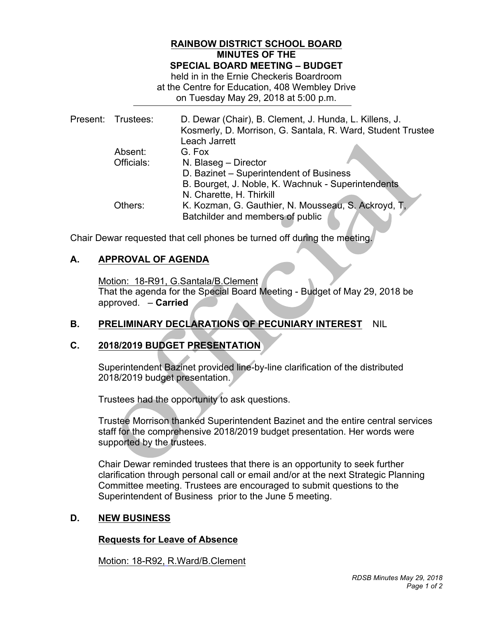### **RAINBOW DISTRICT SCHOOL BOARD MINUTES OF THE SPECIAL BOARD MEETING – BUDGET**

 held in in the Ernie Checkeris Boardroom at the Centre for Education, 408 Wembley Drive on Tuesday May 29, 2018 at 5:00 p.m.

|  | Present: Trustees: | D. Dewar (Chair), B. Clement, J. Hunda, L. Killens, J.      |
|--|--------------------|-------------------------------------------------------------|
|  |                    | Kosmerly, D. Morrison, G. Santala, R. Ward, Student Trustee |
|  |                    | Leach Jarrett                                               |
|  | Absent:            | G. Fox                                                      |
|  | Officials:         | N. Blaseg - Director                                        |
|  |                    | D. Bazinet - Superintendent of Business                     |
|  |                    | B. Bourget, J. Noble, K. Wachnuk - Superintendents          |
|  |                    | N. Charette, H. Thirkill                                    |
|  | Others:            | K. Kozman, G. Gauthier, N. Mousseau, S. Ackroyd, T.         |
|  |                    | Batchilder and members of public                            |
|  |                    |                                                             |

Chair Dewar requested that cell phones be turned off during the meeting.

## **A. APPROVAL OF AGENDA**

 Motion: 18-R91, G.Santala/B.Clement That the agenda for the Special Board Meeting - Budget of May 29, 2018 be approved. – **Carried** 

# **B. PRELIMINARY DECLARATIONS OF PECUNIARY INTEREST** NIL

# **C. 2018/2019 BUDGET PRESENTATION**

 Superintendent Bazinet provided line-by-line clarification of the distributed 2018/2019 budget presentation.

Trustees had the opportunity to ask questions.

 Trustee Morrison thanked Superintendent Bazinet and the entire central services staff for the comprehensive 2018/2019 budget presentation. Her words were supported by the trustees.

 Chair Dewar reminded trustees that there is an opportunity to seek further clarification through personal call or email and/or at the next Strategic Planning Committee meeting. Trustees are encouraged to submit questions to the Superintendent of Business prior to the June 5 meeting.

#### D. **D. NEW BUSINESS**

### **Requests for Leave of Absence**

Motion: 18-R92, R.Ward/B.Clement